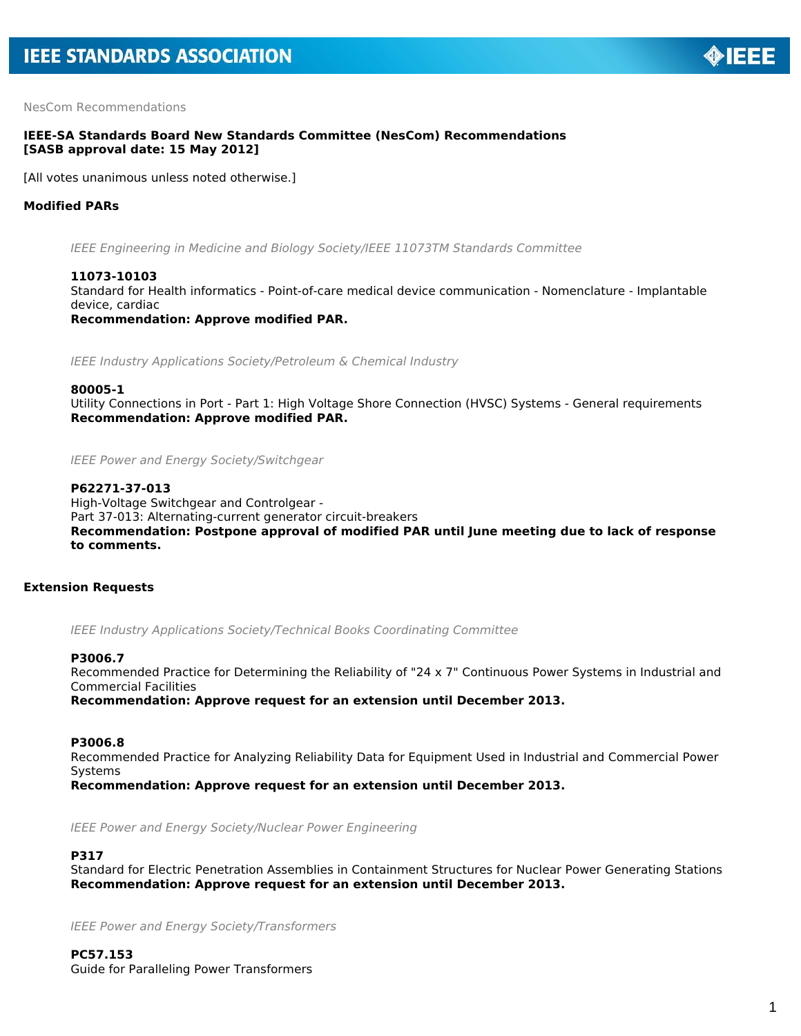NesCom Recommendations

# **IEEE-SA Standards Board New Standards Committee (NesCom) Recommendations [SASB approval date: 15 May 2012]**

[All votes unanimous unless noted otherwise.]

# **Modified PARs**

*IEEE Engineering in Medicine and Biology Society/IEEE 11073TM Standards Committee*

# **11073-10103**

Standard for Health informatics - Point-of-care medical device communication - Nomenclature - Implantable device, cardiac

*Recommendation: Approve modified PAR.*

*IEEE Industry Applications Society/Petroleum & Chemical Industry*

#### **80005-1**

Utility Connections in Port - Part 1: High Voltage Shore Connection (HVSC) Systems - General requirements *Recommendation: Approve modified PAR.*

*IEEE Power and Energy Society/Switchgear*

## **P62271-37-013**

High-Voltage Switchgear and Controlgear - Part 37-013: Alternating-current generator circuit-breakers *Recommendation: Postpone approval of modified PAR until June meeting due to lack of response to comments.*

## **Extension Requests**

*IEEE Industry Applications Society/Technical Books Coordinating Committee*

## **P3006.7**

Recommended Practice for Determining the Reliability of "24 x 7" Continuous Power Systems in Industrial and Commercial Facilities

*Recommendation: Approve request for an extension until December 2013.*

## **P3006.8**

Recommended Practice for Analyzing Reliability Data for Equipment Used in Industrial and Commercial Power Systems

*Recommendation: Approve request for an extension until December 2013.*

*IEEE Power and Energy Society/Nuclear Power Engineering*

# **P317**

Standard for Electric Penetration Assemblies in Containment Structures for Nuclear Power Generating Stations *Recommendation: Approve request for an extension until December 2013.*

*IEEE Power and Energy Society/Transformers*

**PC57.153** Guide for Paralleling Power Transformers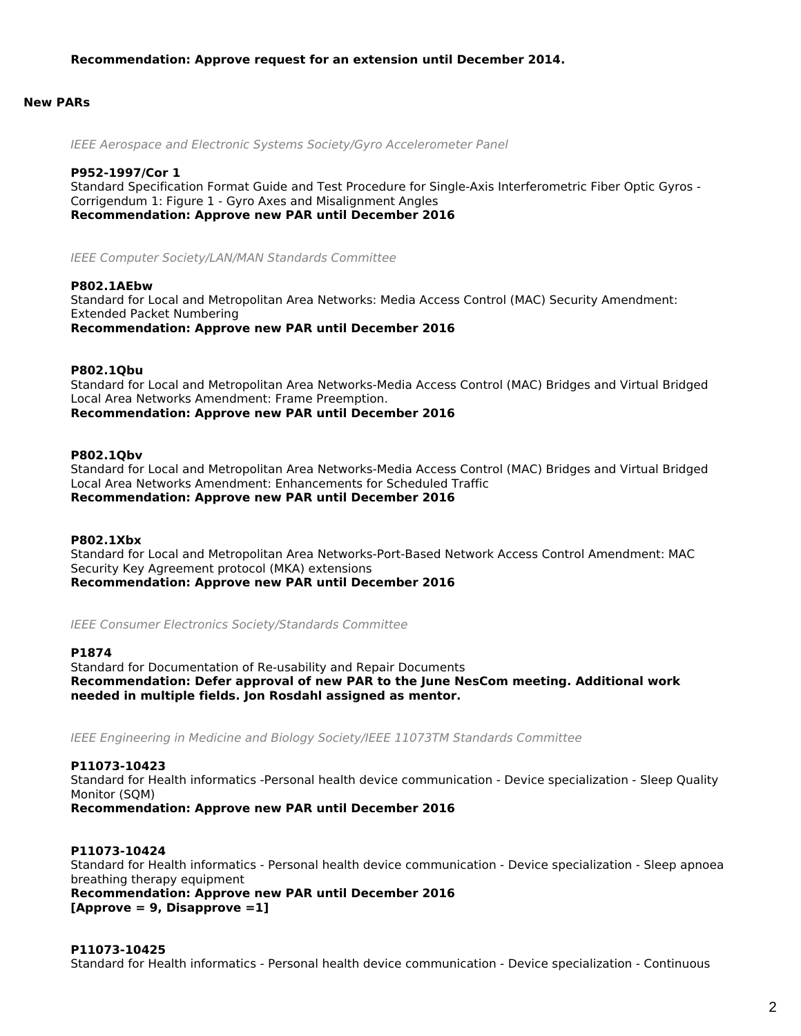## **New PARs**

*IEEE Aerospace and Electronic Systems Society/Gyro Accelerometer Panel*

#### **P952-1997/Cor 1**

Standard Specification Format Guide and Test Procedure for Single-Axis Interferometric Fiber Optic Gyros - Corrigendum 1: Figure 1 - Gyro Axes and Misalignment Angles *Recommendation: Approve new PAR until December 2016*

*IEEE Computer Society/LAN/MAN Standards Committee*

#### **P802.1AEbw**

Standard for Local and Metropolitan Area Networks: Media Access Control (MAC) Security Amendment: Extended Packet Numbering *Recommendation: Approve new PAR until December 2016*

## **P802.1Qbu**

Standard for Local and Metropolitan Area Networks-Media Access Control (MAC) Bridges and Virtual Bridged Local Area Networks Amendment: Frame Preemption. *Recommendation: Approve new PAR until December 2016*

#### **P802.1Qbv**

Standard for Local and Metropolitan Area Networks-Media Access Control (MAC) Bridges and Virtual Bridged Local Area Networks Amendment: Enhancements for Scheduled Traffic *Recommendation: Approve new PAR until December 2016*

#### **P802.1Xbx**

Standard for Local and Metropolitan Area Networks-Port-Based Network Access Control Amendment: MAC Security Key Agreement protocol (MKA) extensions *Recommendation: Approve new PAR until December 2016*

*IEEE Consumer Electronics Society/Standards Committee*

## **P1874**

Standard for Documentation of Re-usability and Repair Documents *Recommendation: Defer approval of new PAR to the June NesCom meeting. Additional work needed in multiple fields. Jon Rosdahl assigned as mentor.*

*IEEE Engineering in Medicine and Biology Society/IEEE 11073TM Standards Committee*

# **P11073-10423** Standard for Health informatics -Personal health device communication - Device specialization - Sleep Quality Monitor (SQM)

*Recommendation: Approve new PAR until December 2016*

# **P11073-10424**

Standard for Health informatics - Personal health device communication - Device specialization - Sleep apnoea breathing therapy equipment

*Recommendation: Approve new PAR until December 2016 [Approve = 9, Disapprove =1]*

## **P11073-10425**

Standard for Health informatics - Personal health device communication - Device specialization - Continuous